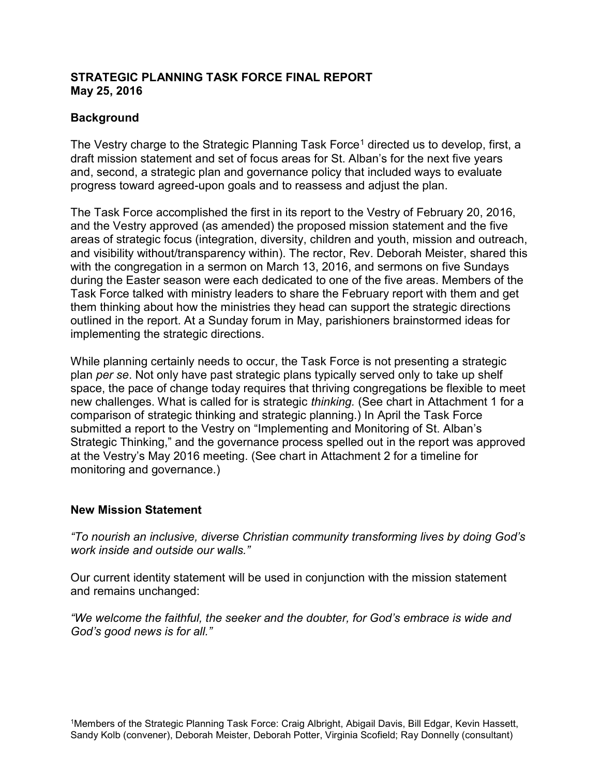#### STRATEGIC PLANNING TASK FORCE FINAL REPORT May 25, 2016

#### **Background**

The Vestry charge to the Strategic Planning Task Force<sup>1</sup> directed us to develop, first, a draft mission statement and set of focus areas for St. Alban's for the next five years and, second, a strategic plan and governance policy that included ways to evaluate progress toward agreed-upon goals and to reassess and adjust the plan.

The Task Force accomplished the first in its report to the Vestry of February 20, 2016, and the Vestry approved (as amended) the proposed mission statement and the five areas of strategic focus (integration, diversity, children and youth, mission and outreach, and visibility without/transparency within). The rector, Rev. Deborah Meister, shared this with the congregation in a sermon on March 13, 2016, and sermons on five Sundays during the Easter season were each dedicated to one of the five areas. Members of the Task Force talked with ministry leaders to share the February report with them and get them thinking about how the ministries they head can support the strategic directions outlined in the report. At a Sunday forum in May, parishioners brainstormed ideas for implementing the strategic directions.

While planning certainly needs to occur, the Task Force is not presenting a strategic plan per se. Not only have past strategic plans typically served only to take up shelf space, the pace of change today requires that thriving congregations be flexible to meet new challenges. What is called for is strategic thinking. (See chart in Attachment 1 for a comparison of strategic thinking and strategic planning.) In April the Task Force submitted a report to the Vestry on "Implementing and Monitoring of St. Alban's Strategic Thinking," and the governance process spelled out in the report was approved at the Vestry's May 2016 meeting. (See chart in Attachment 2 for a timeline for monitoring and governance.)

#### New Mission Statement

"To nourish an inclusive, diverse Christian community transforming lives by doing God's work inside and outside our walls."

Our current identity statement will be used in conjunction with the mission statement and remains unchanged:

"We welcome the faithful, the seeker and the doubter, for God's embrace is wide and God's good news is for all."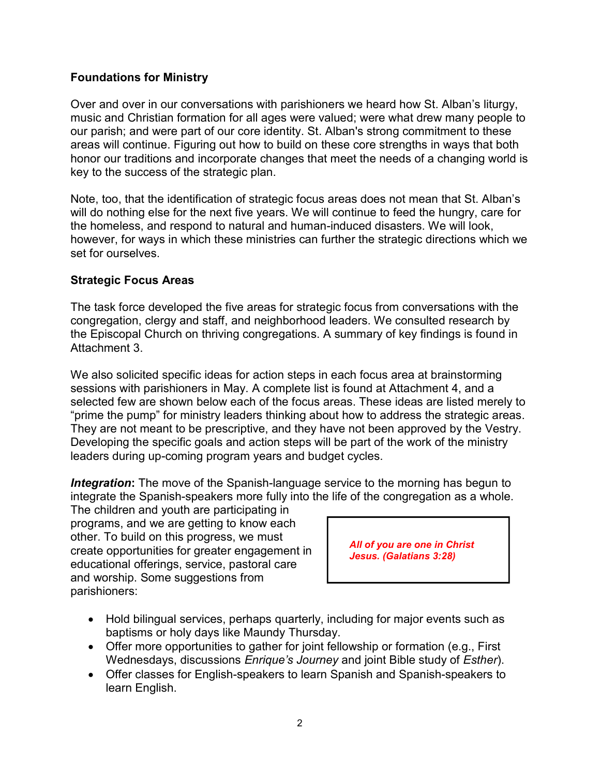#### Foundations for Ministry

Over and over in our conversations with parishioners we heard how St. Alban's liturgy, music and Christian formation for all ages were valued; were what drew many people to our parish; and were part of our core identity. St. Alban's strong commitment to these areas will continue. Figuring out how to build on these core strengths in ways that both honor our traditions and incorporate changes that meet the needs of a changing world is key to the success of the strategic plan.

Note, too, that the identification of strategic focus areas does not mean that St. Alban's will do nothing else for the next five years. We will continue to feed the hungry, care for the homeless, and respond to natural and human-induced disasters. We will look, however, for ways in which these ministries can further the strategic directions which we set for ourselves.

#### Strategic Focus Areas

The task force developed the five areas for strategic focus from conversations with the congregation, clergy and staff, and neighborhood leaders. We consulted research by the Episcopal Church on thriving congregations. A summary of key findings is found in Attachment 3.

We also solicited specific ideas for action steps in each focus area at brainstorming sessions with parishioners in May. A complete list is found at Attachment 4, and a selected few are shown below each of the focus areas. These ideas are listed merely to "prime the pump" for ministry leaders thinking about how to address the strategic areas. They are not meant to be prescriptive, and they have not been approved by the Vestry. Developing the specific goals and action steps will be part of the work of the ministry leaders during up-coming program years and budget cycles.

**Integration:** The move of the Spanish-language service to the morning has begun to integrate the Spanish-speakers more fully into the life of the congregation as a whole.

The children and youth are participating in programs, and we are getting to know each other. To build on this progress, we must create opportunities for greater engagement in educational offerings, service, pastoral care and worship. Some suggestions from parishioners:

All of you are one in Christ Jesus. (Galatians 3:28)

- Hold bilingual services, perhaps quarterly, including for major events such as baptisms or holy days like Maundy Thursday.
- Offer more opportunities to gather for joint fellowship or formation (e.g., First Wednesdays, discussions Enrique's Journey and joint Bible study of Esther).
- Offer classes for English-speakers to learn Spanish and Spanish-speakers to learn English.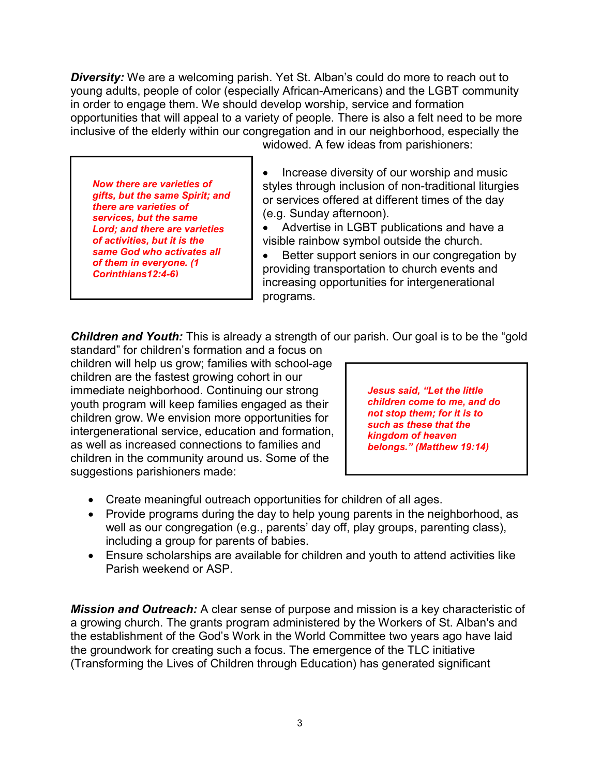**Diversity:** We are a welcoming parish. Yet St. Alban's could do more to reach out to young adults, people of color (especially African-Americans) and the LGBT community in order to engage them. We should develop worship, service and formation opportunities that will appeal to a variety of people. There is also a felt need to be more inclusive of the elderly within our congregation and in our neighborhood, especially the

Now there are varieties of gifts, but the same Spirit; and there are varieties of services, but the same Lord; and there are varieties of activities, but it is the same God who activates all of them in everyone. (1 Corinthians12:4-6)

widowed. A few ideas from parishioners:

 Increase diversity of our worship and music styles through inclusion of non-traditional liturgies or services offered at different times of the day (e.g. Sunday afternoon).

 Advertise in LGBT publications and have a visible rainbow symbol outside the church.

 Better support seniors in our congregation by providing transportation to church events and increasing opportunities for intergenerational programs.

**Children and Youth:** This is already a strength of our parish. Our goal is to be the "gold"

standard" for children's formation and a focus on children will help us grow; families with school-age children are the fastest growing cohort in our immediate neighborhood. Continuing our strong youth program will keep families engaged as their children grow. We envision more opportunities for intergenerational service, education and formation, as well as increased connections to families and children in the community around us. Some of the suggestions parishioners made:

Jesus said, "Let the little children come to me, and do not stop them; for it is to such as these that the kingdom of heaven belongs." (Matthew 19:14)

- Create meaningful outreach opportunities for children of all ages.
- Provide programs during the day to help young parents in the neighborhood, as well as our congregation (e.g., parents' day off, play groups, parenting class), including a group for parents of babies.
- Ensure scholarships are available for children and youth to attend activities like Parish weekend or ASP.

**Mission and Outreach:** A clear sense of purpose and mission is a key characteristic of a growing church. The grants program administered by the Workers of St. Alban's and the establishment of the God's Work in the World Committee two years ago have laid the groundwork for creating such a focus. The emergence of the TLC initiative (Transforming the Lives of Children through Education) has generated significant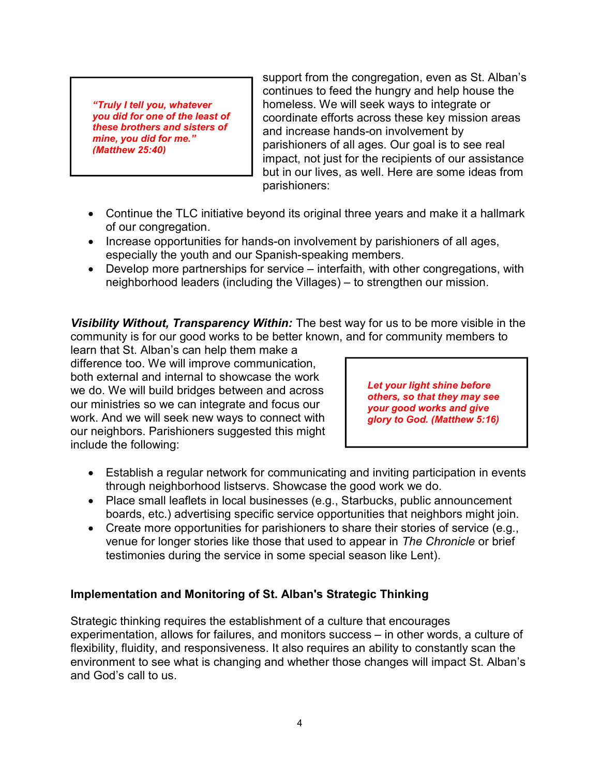"Truly I tell you, whatever you did for one of the least of these brothers and sisters of mine, you did for me." (Matthew 25:40)

support from the congregation, even as St. Alban's continues to feed the hungry and help house the homeless. We will seek ways to integrate or coordinate efforts across these key mission areas and increase hands-on involvement by parishioners of all ages. Our goal is to see real impact, not just for the recipients of our assistance but in our lives, as well. Here are some ideas from parishioners:

- Continue the TLC initiative beyond its original three years and make it a hallmark of our congregation.
- Increase opportunities for hands-on involvement by parishioners of all ages, especially the youth and our Spanish-speaking members.
- Develop more partnerships for service interfaith, with other congregations, with neighborhood leaders (including the Villages) – to strengthen our mission.

Visibility Without, Transparency Within: The best way for us to be more visible in the community is for our good works to be better known, and for community members to

learn that St. Alban's can help them make a difference too. We will improve communication, both external and internal to showcase the work we do. We will build bridges between and across our ministries so we can integrate and focus our work. And we will seek new ways to connect with our neighbors. Parishioners suggested this might include the following:

Let your light shine before others, so that they may see your good works and give glory to God. (Matthew 5:16)

- Establish a regular network for communicating and inviting participation in events through neighborhood listservs. Showcase the good work we do.
- Place small leaflets in local businesses (e.g., Starbucks, public announcement boards, etc.) advertising specific service opportunities that neighbors might join.
- Create more opportunities for parishioners to share their stories of service (e.g., venue for longer stories like those that used to appear in The Chronicle or brief testimonies during the service in some special season like Lent).

## Implementation and Monitoring of St. Alban's Strategic Thinking

Strategic thinking requires the establishment of a culture that encourages experimentation, allows for failures, and monitors success – in other words, a culture of flexibility, fluidity, and responsiveness. It also requires an ability to constantly scan the environment to see what is changing and whether those changes will impact St. Alban's and God's call to us.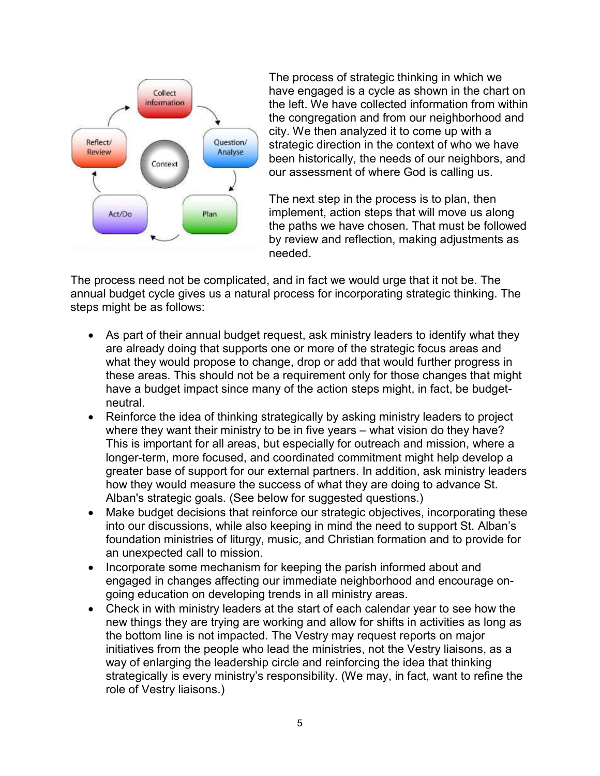

The process of strategic thinking in which we have engaged is a cycle as shown in the chart on the left. We have collected information from within the congregation and from our neighborhood and city. We then analyzed it to come up with a strategic direction in the context of who we have been historically, the needs of our neighbors, and our assessment of where God is calling us.

The next step in the process is to plan, then implement, action steps that will move us along the paths we have chosen. That must be followed by review and reflection, making adjustments as needed.

The process need not be complicated, and in fact we would urge that it not be. The annual budget cycle gives us a natural process for incorporating strategic thinking. The steps might be as follows:

- As part of their annual budget request, ask ministry leaders to identify what they are already doing that supports one or more of the strategic focus areas and what they would propose to change, drop or add that would further progress in these areas. This should not be a requirement only for those changes that might have a budget impact since many of the action steps might, in fact, be budgetneutral.
- Reinforce the idea of thinking strategically by asking ministry leaders to project where they want their ministry to be in five years – what vision do they have? This is important for all areas, but especially for outreach and mission, where a longer-term, more focused, and coordinated commitment might help develop a greater base of support for our external partners. In addition, ask ministry leaders how they would measure the success of what they are doing to advance St. Alban's strategic goals. (See below for suggested questions.)
- Make budget decisions that reinforce our strategic objectives, incorporating these into our discussions, while also keeping in mind the need to support St. Alban's foundation ministries of liturgy, music, and Christian formation and to provide for an unexpected call to mission.
- Incorporate some mechanism for keeping the parish informed about and engaged in changes affecting our immediate neighborhood and encourage ongoing education on developing trends in all ministry areas.
- Check in with ministry leaders at the start of each calendar year to see how the new things they are trying are working and allow for shifts in activities as long as the bottom line is not impacted. The Vestry may request reports on major initiatives from the people who lead the ministries, not the Vestry liaisons, as a way of enlarging the leadership circle and reinforcing the idea that thinking strategically is every ministry's responsibility. (We may, in fact, want to refine the role of Vestry liaisons.)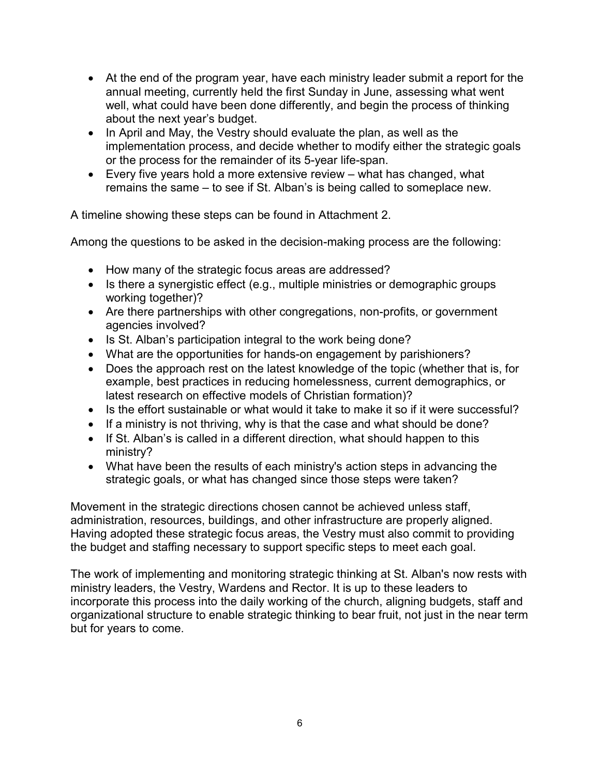- At the end of the program year, have each ministry leader submit a report for the annual meeting, currently held the first Sunday in June, assessing what went well, what could have been done differently, and begin the process of thinking about the next year's budget.
- In April and May, the Vestry should evaluate the plan, as well as the implementation process, and decide whether to modify either the strategic goals or the process for the remainder of its 5-year life-span.
- Every five years hold a more extensive review what has changed, what remains the same – to see if St. Alban's is being called to someplace new.

A timeline showing these steps can be found in Attachment 2.

Among the questions to be asked in the decision-making process are the following:

- How many of the strategic focus areas are addressed?
- $\bullet$  Is there a synergistic effect (e.g., multiple ministries or demographic groups working together)?
- Are there partnerships with other congregations, non-profits, or government agencies involved?
- Is St. Alban's participation integral to the work being done?
- What are the opportunities for hands-on engagement by parishioners?
- Does the approach rest on the latest knowledge of the topic (whether that is, for example, best practices in reducing homelessness, current demographics, or latest research on effective models of Christian formation)?
- Is the effort sustainable or what would it take to make it so if it were successful?
- If a ministry is not thriving, why is that the case and what should be done?
- If St. Alban's is called in a different direction, what should happen to this ministry?
- What have been the results of each ministry's action steps in advancing the strategic goals, or what has changed since those steps were taken?

Movement in the strategic directions chosen cannot be achieved unless staff, administration, resources, buildings, and other infrastructure are properly aligned. Having adopted these strategic focus areas, the Vestry must also commit to providing the budget and staffing necessary to support specific steps to meet each goal.

The work of implementing and monitoring strategic thinking at St. Alban's now rests with ministry leaders, the Vestry, Wardens and Rector. It is up to these leaders to incorporate this process into the daily working of the church, aligning budgets, staff and organizational structure to enable strategic thinking to bear fruit, not just in the near term but for years to come.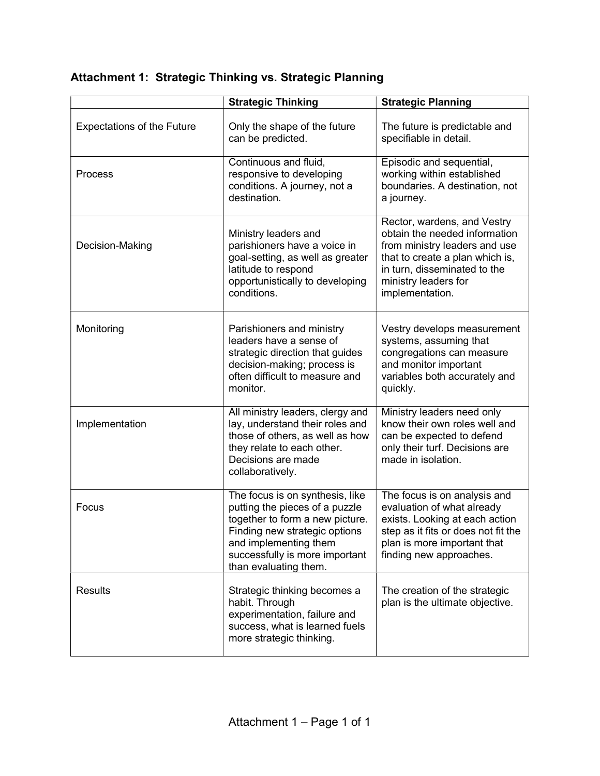|                                   | <b>Strategic Thinking</b>                                                                                                                                                                                                 | <b>Strategic Planning</b>                                                                                                                                                                                   |
|-----------------------------------|---------------------------------------------------------------------------------------------------------------------------------------------------------------------------------------------------------------------------|-------------------------------------------------------------------------------------------------------------------------------------------------------------------------------------------------------------|
| <b>Expectations of the Future</b> | Only the shape of the future<br>can be predicted.                                                                                                                                                                         | The future is predictable and<br>specifiable in detail.                                                                                                                                                     |
| Process                           | Continuous and fluid,<br>responsive to developing<br>conditions. A journey, not a<br>destination.                                                                                                                         | Episodic and sequential,<br>working within established<br>boundaries. A destination, not<br>a journey.                                                                                                      |
| Decision-Making                   | Ministry leaders and<br>parishioners have a voice in<br>goal-setting, as well as greater<br>latitude to respond<br>opportunistically to developing<br>conditions.                                                         | Rector, wardens, and Vestry<br>obtain the needed information<br>from ministry leaders and use<br>that to create a plan which is,<br>in turn, disseminated to the<br>ministry leaders for<br>implementation. |
| Monitoring                        | Parishioners and ministry<br>leaders have a sense of<br>strategic direction that guides<br>decision-making; process is<br>often difficult to measure and<br>monitor.                                                      | Vestry develops measurement<br>systems, assuming that<br>congregations can measure<br>and monitor important<br>variables both accurately and<br>quickly.                                                    |
| Implementation                    | All ministry leaders, clergy and<br>lay, understand their roles and<br>those of others, as well as how<br>they relate to each other.<br>Decisions are made<br>collaboratively.                                            | Ministry leaders need only<br>know their own roles well and<br>can be expected to defend<br>only their turf. Decisions are<br>made in isolation.                                                            |
| Focus                             | The focus is on synthesis, like<br>putting the pieces of a puzzle<br>together to form a new picture.<br>Finding new strategic options<br>and implementing them<br>successfully is more important<br>than evaluating them. | The focus is on analysis and<br>evaluation of what already<br>exists. Looking at each action<br>step as it fits or does not fit the<br>plan is more important that<br>finding new approaches.               |
| <b>Results</b>                    | Strategic thinking becomes a<br>habit. Through<br>experimentation, failure and<br>success, what is learned fuels<br>more strategic thinking.                                                                              | The creation of the strategic<br>plan is the ultimate objective.                                                                                                                                            |

# Attachment 1: Strategic Thinking vs. Strategic Planning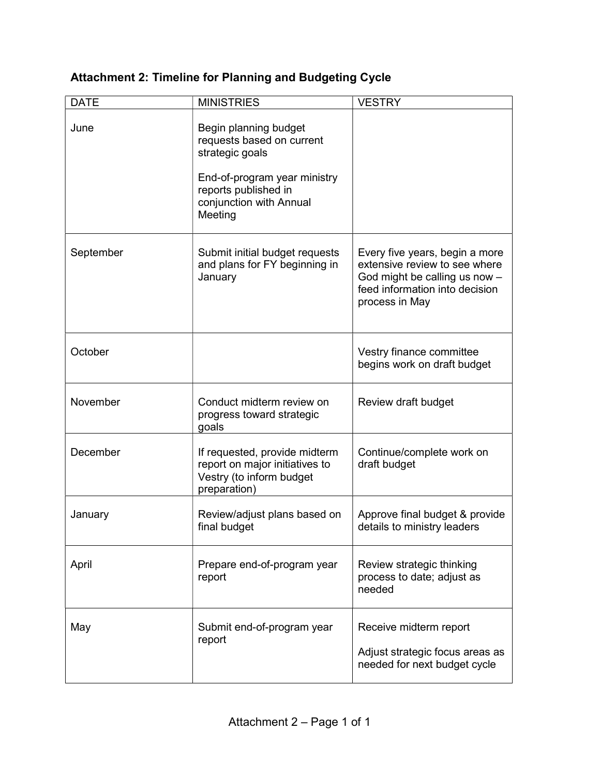| <b>DATE</b> | <b>MINISTRIES</b>                                                                                                                                                   | <b>VESTRY</b>                                                                                                                                        |
|-------------|---------------------------------------------------------------------------------------------------------------------------------------------------------------------|------------------------------------------------------------------------------------------------------------------------------------------------------|
| June        | Begin planning budget<br>requests based on current<br>strategic goals<br>End-of-program year ministry<br>reports published in<br>conjunction with Annual<br>Meeting |                                                                                                                                                      |
| September   | Submit initial budget requests<br>and plans for FY beginning in<br>January                                                                                          | Every five years, begin a more<br>extensive review to see where<br>God might be calling us now -<br>feed information into decision<br>process in May |
| October     |                                                                                                                                                                     | Vestry finance committee<br>begins work on draft budget                                                                                              |
| November    | Conduct midterm review on<br>progress toward strategic<br>goals                                                                                                     | Review draft budget                                                                                                                                  |
| December    | If requested, provide midterm<br>report on major initiatives to<br>Vestry (to inform budget<br>preparation)                                                         | Continue/complete work on<br>draft budget                                                                                                            |
| January     | Review/adjust plans based on<br>final budget                                                                                                                        | Approve final budget & provide<br>details to ministry leaders                                                                                        |
| April       | Prepare end-of-program year<br>report                                                                                                                               | Review strategic thinking<br>process to date; adjust as<br>needed                                                                                    |
| May         | Submit end-of-program year<br>report                                                                                                                                | Receive midterm report<br>Adjust strategic focus areas as<br>needed for next budget cycle                                                            |

# Attachment 2: Timeline for Planning and Budgeting Cycle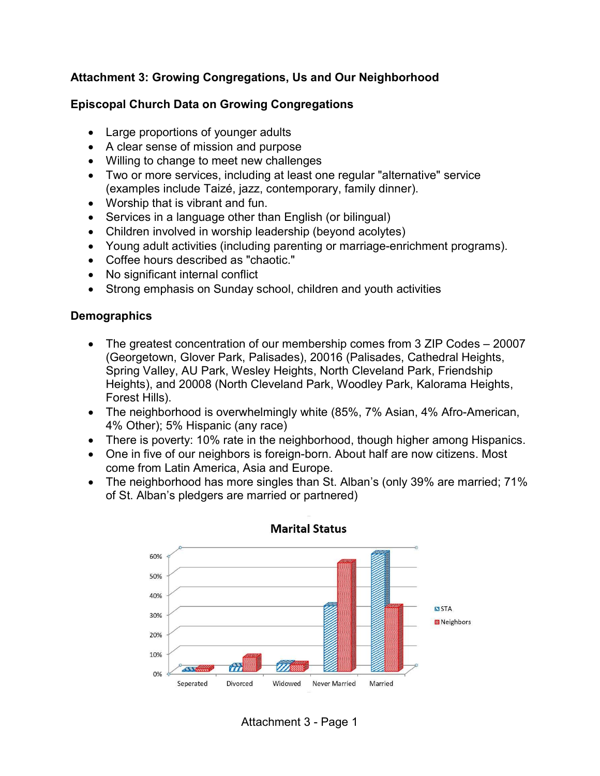## Attachment 3: Growing Congregations, Us and Our Neighborhood

### Episcopal Church Data on Growing Congregations

- Large proportions of younger adults
- A clear sense of mission and purpose
- Willing to change to meet new challenges
- Two or more services, including at least one regular "alternative" service (examples include Taizé, jazz, contemporary, family dinner).
- Worship that is vibrant and fun.
- Services in a language other than English (or bilingual)
- Children involved in worship leadership (beyond acolytes)
- Young adult activities (including parenting or marriage-enrichment programs).
- Coffee hours described as "chaotic."
- No significant internal conflict
- Strong emphasis on Sunday school, children and youth activities

#### **Demographics**

- The greatest concentration of our membership comes from 3 ZIP Codes 20007 (Georgetown, Glover Park, Palisades), 20016 (Palisades, Cathedral Heights, Spring Valley, AU Park, Wesley Heights, North Cleveland Park, Friendship Heights), and 20008 (North Cleveland Park, Woodley Park, Kalorama Heights, Forest Hills).
- The neighborhood is overwhelmingly white (85%, 7% Asian, 4% Afro-American, 4% Other); 5% Hispanic (any race)
- There is poverty: 10% rate in the neighborhood, though higher among Hispanics.
- One in five of our neighbors is foreign-born. About half are now citizens. Most come from Latin America, Asia and Europe.
- The neighborhood has more singles than St. Alban's (only 39% are married; 71% of St. Alban's pledgers are married or partnered)



#### **Marital Status**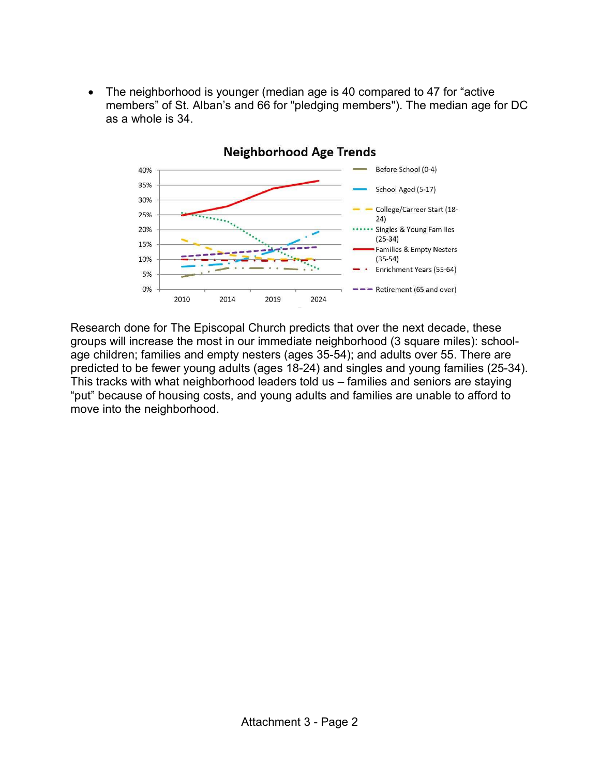The neighborhood is younger (median age is 40 compared to 47 for "active members" of St. Alban's and 66 for "pledging members"). The median age for DC as a whole is 34.



Research done for The Episcopal Church predicts that over the next decade, these groups will increase the most in our immediate neighborhood (3 square miles): schoolage children; families and empty nesters (ages 35-54); and adults over 55. There are predicted to be fewer young adults (ages 18-24) and singles and young families (25-34). This tracks with what neighborhood leaders told us – families and seniors are staying "put" because of housing costs, and young adults and families are unable to afford to move into the neighborhood.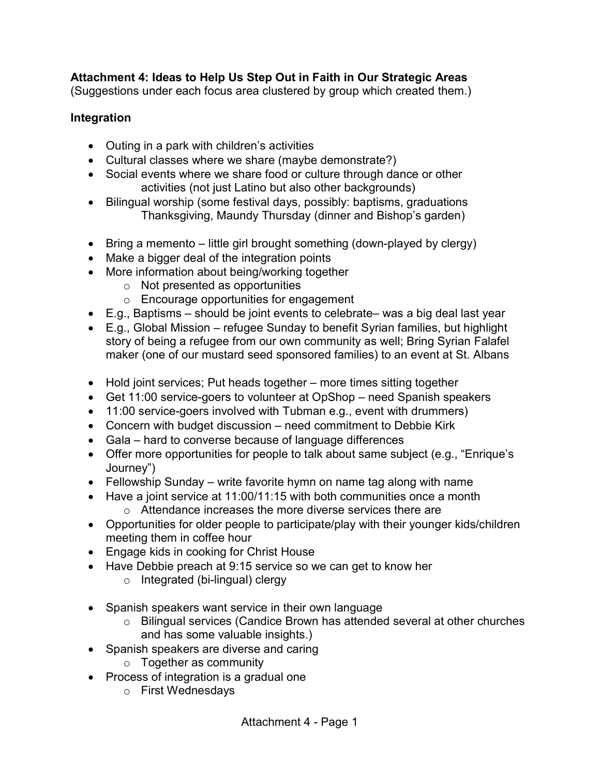# Attachment 4: Ideas to Help Us Step Out in Faith in Our Strategic Areas

(Suggestions under each focus area clustered by group which created them.)

#### Integration

- Outing in a park with children's activities
- Cultural classes where we share (maybe demonstrate?)
- Social events where we share food or culture through dance or other activities (not just Latino but also other backgrounds)
- Bilingual worship (some festival days, possibly: baptisms, graduations Thanksgiving, Maundy Thursday (dinner and Bishop's garden)
- Bring a memento little girl brought something (down-played by clergy)
- Make a bigger deal of the integration points
- More information about being/working together
	- o Not presented as opportunities
	- o Encourage opportunities for engagement
- E.g., Baptisms should be joint events to celebrate– was a big deal last year
- E.g., Global Mission refugee Sunday to benefit Syrian families, but highlight story of being a refugee from our own community as well; Bring Syrian Falafel maker (one of our mustard seed sponsored families) to an event at St. Albans
- Hold joint services; Put heads together more times sitting together
- Get 11:00 service-goers to volunteer at OpShop need Spanish speakers
- 11:00 service-goers involved with Tubman e.g., event with drummers)
- Concern with budget discussion need commitment to Debbie Kirk
- Gala hard to converse because of language differences
- Offer more opportunities for people to talk about same subject (e.g., "Enrique's Journey")
- Fellowship Sunday write favorite hymn on name tag along with name
- Have a joint service at 11:00/11:15 with both communities once a month o Attendance increases the more diverse services there are
- Opportunities for older people to participate/play with their younger kids/children meeting them in coffee hour
- Engage kids in cooking for Christ House
- Have Debbie preach at 9:15 service so we can get to know her
	- o Integrated (bi-lingual) clergy
- Spanish speakers want service in their own language
	- o Bilingual services (Candice Brown has attended several at other churches and has some valuable insights.)
- Spanish speakers are diverse and caring
	- o Together as community
- Process of integration is a gradual one
	- o First Wednesdays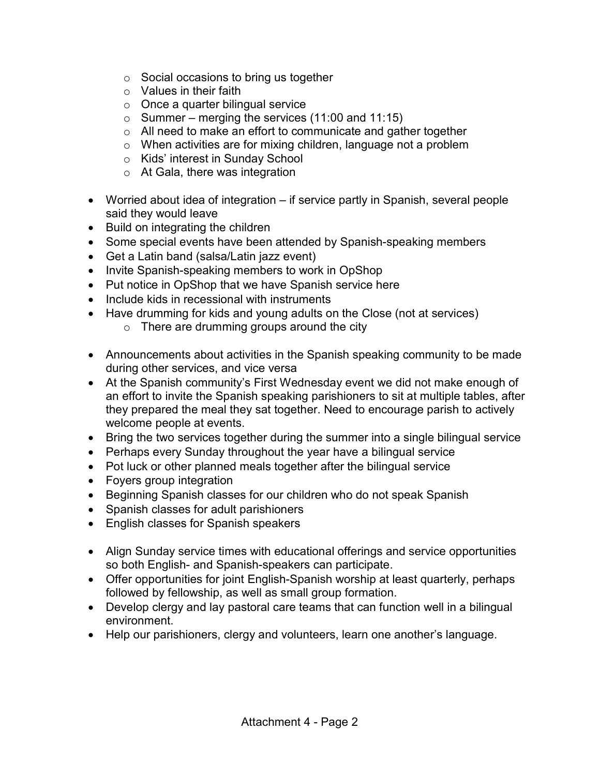- o Social occasions to bring us together
- $\circ$  Values in their faith
- o Once a quarter bilingual service
- $\circ$  Summer merging the services (11:00 and 11:15)
- o All need to make an effort to communicate and gather together
- o When activities are for mixing children, language not a problem
- o Kids' interest in Sunday School
- o At Gala, there was integration
- Worried about idea of integration if service partly in Spanish, several people said they would leave
- Build on integrating the children
- Some special events have been attended by Spanish-speaking members
- Get a Latin band (salsa/Latin jazz event)
- Invite Spanish-speaking members to work in OpShop
- Put notice in OpShop that we have Spanish service here
- Include kids in recessional with instruments
- Have drumming for kids and young adults on the Close (not at services)
	- $\circ$  There are drumming groups around the city
- Announcements about activities in the Spanish speaking community to be made during other services, and vice versa
- At the Spanish community's First Wednesday event we did not make enough of an effort to invite the Spanish speaking parishioners to sit at multiple tables, after they prepared the meal they sat together. Need to encourage parish to actively welcome people at events.
- Bring the two services together during the summer into a single bilingual service
- Perhaps every Sunday throughout the year have a bilingual service
- Pot luck or other planned meals together after the bilingual service
- Foyers group integration
- Beginning Spanish classes for our children who do not speak Spanish
- Spanish classes for adult parishioners
- English classes for Spanish speakers
- Align Sunday service times with educational offerings and service opportunities so both English- and Spanish-speakers can participate.
- Offer opportunities for joint English-Spanish worship at least quarterly, perhaps followed by fellowship, as well as small group formation.
- Develop clergy and lay pastoral care teams that can function well in a bilingual environment.
- Help our parishioners, clergy and volunteers, learn one another's language.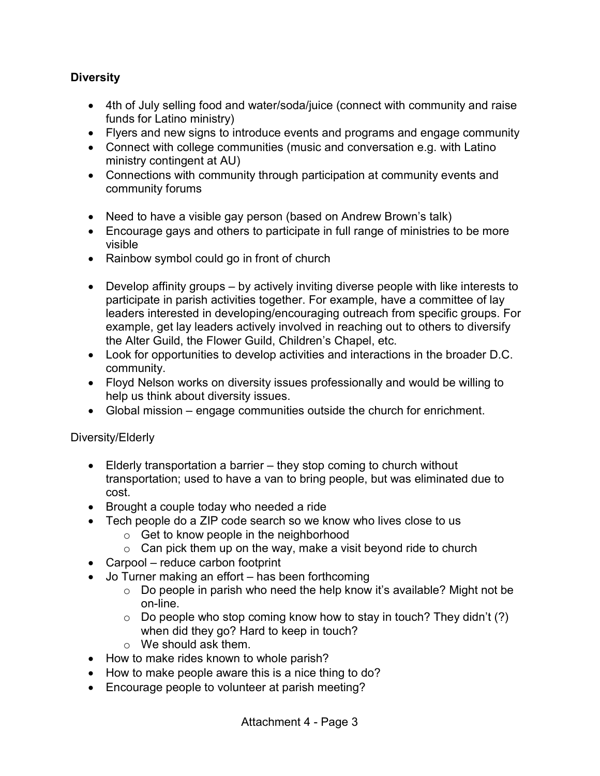## **Diversity**

- 4th of July selling food and water/soda/juice (connect with community and raise funds for Latino ministry)
- Flyers and new signs to introduce events and programs and engage community
- Connect with college communities (music and conversation e.g. with Latino ministry contingent at AU)
- Connections with community through participation at community events and community forums
- Need to have a visible gay person (based on Andrew Brown's talk)
- Encourage gays and others to participate in full range of ministries to be more visible
- Rainbow symbol could go in front of church
- Develop affinity groups by actively inviting diverse people with like interests to participate in parish activities together. For example, have a committee of lay leaders interested in developing/encouraging outreach from specific groups. For example, get lay leaders actively involved in reaching out to others to diversify the Alter Guild, the Flower Guild, Children's Chapel, etc.
- Look for opportunities to develop activities and interactions in the broader D.C. community.
- Floyd Nelson works on diversity issues professionally and would be willing to help us think about diversity issues.
- Global mission engage communities outside the church for enrichment.

#### Diversity/Elderly

- Elderly transportation a barrier they stop coming to church without transportation; used to have a van to bring people, but was eliminated due to cost.
- Brought a couple today who needed a ride
- Tech people do a ZIP code search so we know who lives close to us
	- o Get to know people in the neighborhood
	- $\circ$  Can pick them up on the way, make a visit beyond ride to church
- Carpool reduce carbon footprint
- Jo Turner making an effort has been forthcoming
	- $\circ$  Do people in parish who need the help know it's available? Might not be on-line.
	- $\circ$  Do people who stop coming know how to stay in touch? They didn't (?) when did they go? Hard to keep in touch?
	- o We should ask them.
- How to make rides known to whole parish?
- How to make people aware this is a nice thing to do?
- Encourage people to volunteer at parish meeting?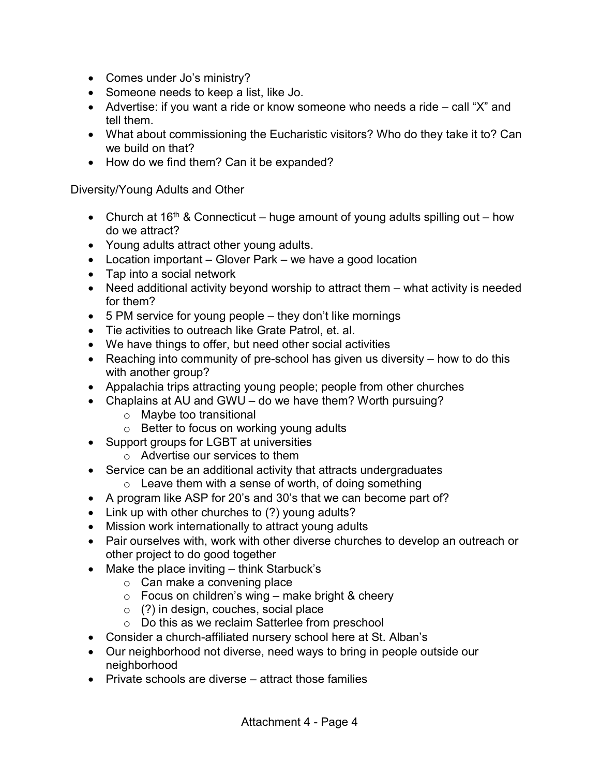- Comes under Jo's ministry?
- Someone needs to keep a list, like Jo.
- Advertise: if you want a ride or know someone who needs a ride call "X" and tell them.
- What about commissioning the Eucharistic visitors? Who do they take it to? Can we build on that?
- How do we find them? Can it be expanded?

Diversity/Young Adults and Other

- Church at  $16<sup>th</sup>$  & Connecticut huge amount of young adults spilling out how do we attract?
- Young adults attract other young adults.
- Location important Glover Park we have a good location
- Tap into a social network
- Need additional activity beyond worship to attract them what activity is needed for them?
- 5 PM service for young people they don't like mornings
- Tie activities to outreach like Grate Patrol, et. al.
- We have things to offer, but need other social activities
- Reaching into community of pre-school has given us diversity how to do this with another group?
- Appalachia trips attracting young people; people from other churches
- Chaplains at AU and GWU do we have them? Worth pursuing?
	- o Maybe too transitional
	- o Better to focus on working young adults
- Support groups for LGBT at universities
	- o Advertise our services to them
- Service can be an additional activity that attracts undergraduates
	- $\circ$  Leave them with a sense of worth, of doing something
- A program like ASP for 20's and 30's that we can become part of?
- Link up with other churches to (?) young adults?
- Mission work internationally to attract young adults
- Pair ourselves with, work with other diverse churches to develop an outreach or other project to do good together
- $\bullet$  Make the place inviting think Starbuck's
	- o Can make a convening place
	- $\circ$  Focus on children's wing make bright & cheery
	- $\circ$  (?) in design, couches, social place
	- o Do this as we reclaim Satterlee from preschool
- Consider a church-affiliated nursery school here at St. Alban's
- Our neighborhood not diverse, need ways to bring in people outside our neighborhood
- Private schools are diverse attract those families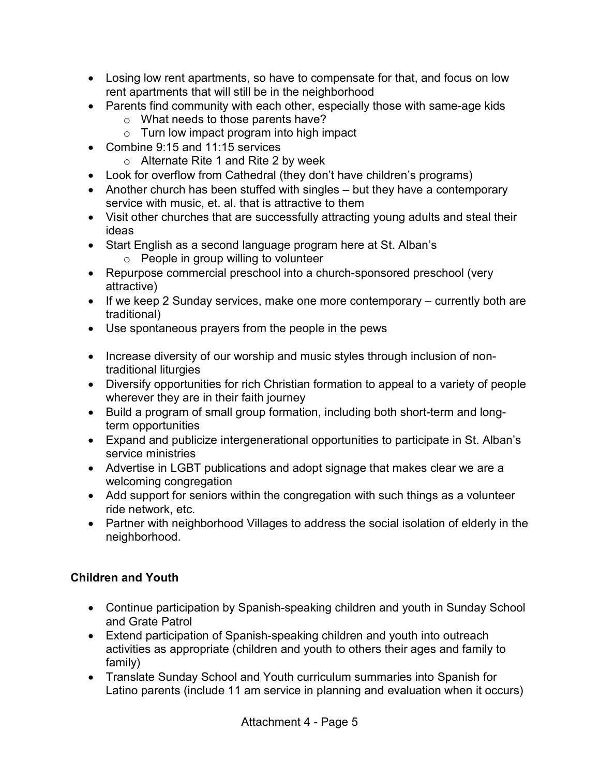- Losing low rent apartments, so have to compensate for that, and focus on low rent apartments that will still be in the neighborhood
- Parents find community with each other, especially those with same-age kids
	- o What needs to those parents have?
	- $\circ$  Turn low impact program into high impact
- Combine 9:15 and 11:15 services
	- o Alternate Rite 1 and Rite 2 by week
- Look for overflow from Cathedral (they don't have children's programs)
- Another church has been stuffed with singles but they have a contemporary service with music, et. al. that is attractive to them
- Visit other churches that are successfully attracting young adults and steal their ideas
- Start English as a second language program here at St. Alban's o People in group willing to volunteer
- Repurpose commercial preschool into a church-sponsored preschool (very attractive)
- If we keep 2 Sunday services, make one more contemporary  $-$  currently both are traditional)
- Use spontaneous prayers from the people in the pews
- Increase diversity of our worship and music styles through inclusion of nontraditional liturgies
- Diversify opportunities for rich Christian formation to appeal to a variety of people wherever they are in their faith journey
- Build a program of small group formation, including both short-term and longterm opportunities
- Expand and publicize intergenerational opportunities to participate in St. Alban's service ministries
- Advertise in LGBT publications and adopt signage that makes clear we are a welcoming congregation
- Add support for seniors within the congregation with such things as a volunteer ride network, etc.
- Partner with neighborhood Villages to address the social isolation of elderly in the neighborhood.

# Children and Youth

- Continue participation by Spanish-speaking children and youth in Sunday School and Grate Patrol
- Extend participation of Spanish-speaking children and youth into outreach activities as appropriate (children and youth to others their ages and family to family)
- Translate Sunday School and Youth curriculum summaries into Spanish for Latino parents (include 11 am service in planning and evaluation when it occurs)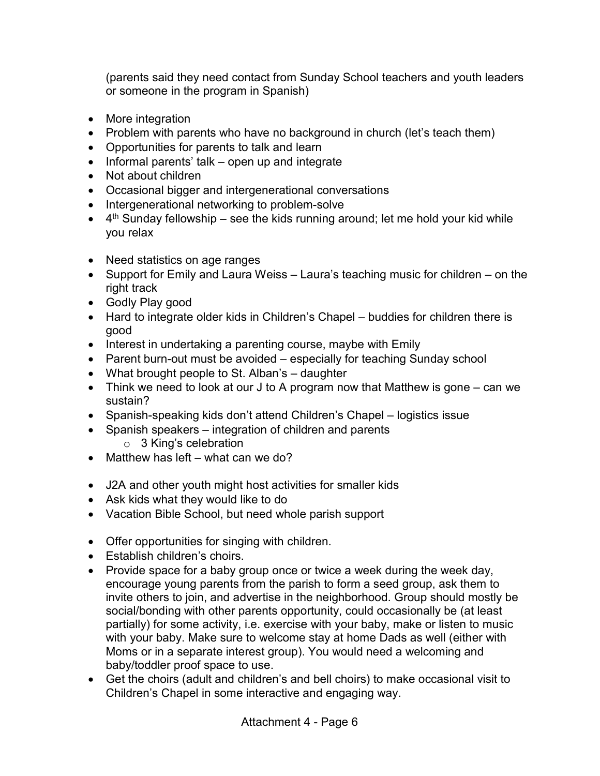(parents said they need contact from Sunday School teachers and youth leaders or someone in the program in Spanish)

- More integration
- Problem with parents who have no background in church (let's teach them)
- Opportunities for parents to talk and learn
- $\bullet$  Informal parents' talk open up and integrate
- Not about children
- Occasional bigger and intergenerational conversations
- Intergenerational networking to problem-solve
- $\bullet$  4<sup>th</sup> Sunday fellowship see the kids running around; let me hold your kid while you relax
- Need statistics on age ranges
- Support for Emily and Laura Weiss Laura's teaching music for children on the right track
- Godly Play good
- Hard to integrate older kids in Children's Chapel buddies for children there is good
- Interest in undertaking a parenting course, maybe with Emily
- Parent burn-out must be avoided especially for teaching Sunday school
- What brought people to St. Alban's daughter
- Think we need to look at our J to A program now that Matthew is gone can we sustain?
- Spanish-speaking kids don't attend Children's Chapel logistics issue
- Spanish speakers integration of children and parents
	- o 3 King's celebration
- $\bullet$  Matthew has left what can we do?
- J2A and other youth might host activities for smaller kids
- Ask kids what they would like to do
- Vacation Bible School, but need whole parish support
- Offer opportunities for singing with children.
- Establish children's choirs.
- Provide space for a baby group once or twice a week during the week day, encourage young parents from the parish to form a seed group, ask them to invite others to join, and advertise in the neighborhood. Group should mostly be social/bonding with other parents opportunity, could occasionally be (at least partially) for some activity, i.e. exercise with your baby, make or listen to music with your baby. Make sure to welcome stay at home Dads as well (either with Moms or in a separate interest group). You would need a welcoming and baby/toddler proof space to use.
- Get the choirs (adult and children's and bell choirs) to make occasional visit to Children's Chapel in some interactive and engaging way.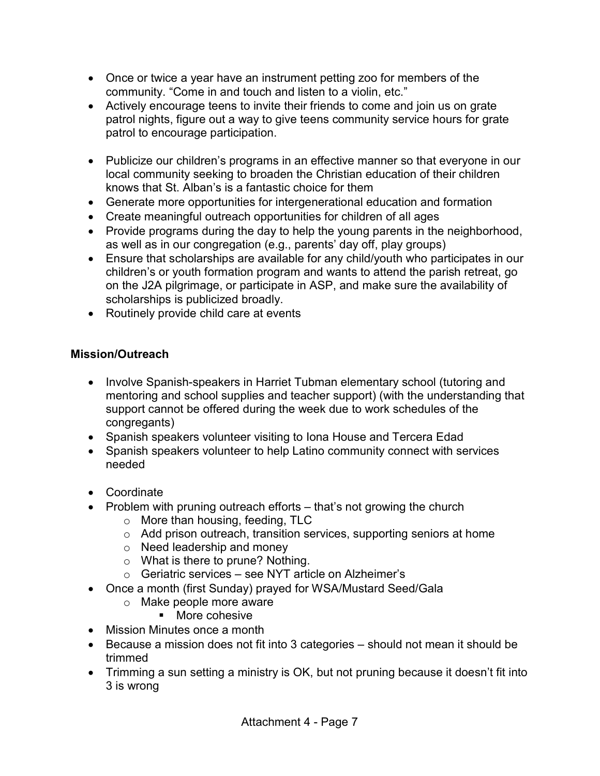- Once or twice a year have an instrument petting zoo for members of the community. "Come in and touch and listen to a violin, etc."
- Actively encourage teens to invite their friends to come and join us on grate patrol nights, figure out a way to give teens community service hours for grate patrol to encourage participation.
- Publicize our children's programs in an effective manner so that everyone in our local community seeking to broaden the Christian education of their children knows that St. Alban's is a fantastic choice for them
- Generate more opportunities for intergenerational education and formation
- Create meaningful outreach opportunities for children of all ages
- Provide programs during the day to help the young parents in the neighborhood, as well as in our congregation (e.g., parents' day off, play groups)
- Ensure that scholarships are available for any child/youth who participates in our children's or youth formation program and wants to attend the parish retreat, go on the J2A pilgrimage, or participate in ASP, and make sure the availability of scholarships is publicized broadly.
- Routinely provide child care at events

# Mission/Outreach

- Involve Spanish-speakers in Harriet Tubman elementary school (tutoring and mentoring and school supplies and teacher support) (with the understanding that support cannot be offered during the week due to work schedules of the congregants)
- Spanish speakers volunteer visiting to Iona House and Tercera Edad
- Spanish speakers volunteer to help Latino community connect with services needed
- Coordinate
- Problem with pruning outreach efforts  $-$  that's not growing the church
	- o More than housing, feeding, TLC
	- o Add prison outreach, transition services, supporting seniors at home
	- o Need leadership and money
	- o What is there to prune? Nothing.
	- o Geriatric services see NYT article on Alzheimer's
- Once a month (first Sunday) prayed for WSA/Mustard Seed/Gala
	- o Make people more aware
		- More cohesive
- Mission Minutes once a month
- Because a mission does not fit into 3 categories should not mean it should be trimmed
- Trimming a sun setting a ministry is OK, but not pruning because it doesn't fit into 3 is wrong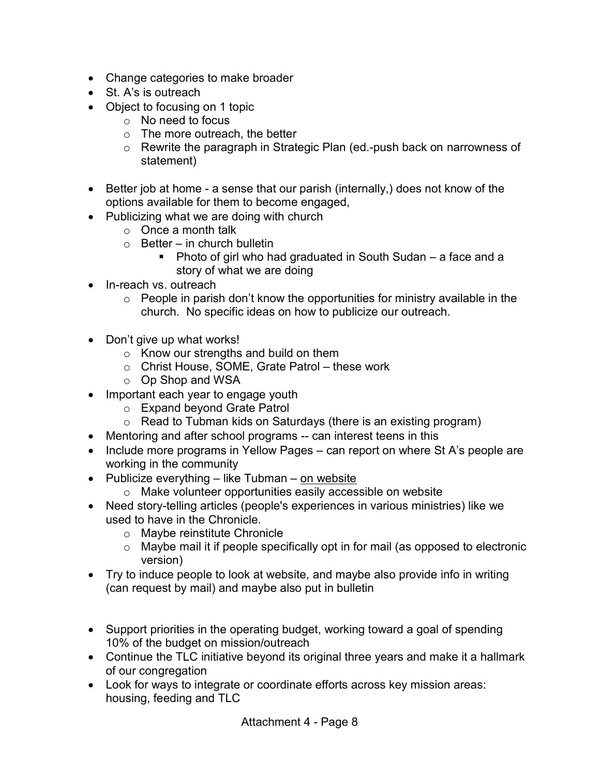- Change categories to make broader
- St. A's is outreach
- Object to focusing on 1 topic
	- $\circ$  No need to focus
	- o The more outreach, the better
	- o Rewrite the paragraph in Strategic Plan (ed.-push back on narrowness of statement)
- Better job at home a sense that our parish (internally,) does not know of the options available for them to become engaged,
- Publicizing what we are doing with church
	- o Once a month talk
	- $\circ$  Better in church bulletin
		- Photo of girl who had graduated in South Sudan a face and a story of what we are doing
- In-reach vs. outreach
	- $\circ$  People in parish don't know the opportunities for ministry available in the church. No specific ideas on how to publicize our outreach.
- Don't give up what works!
	- o Know our strengths and build on them
	- o Christ House, SOME, Grate Patrol these work
	- o Op Shop and WSA
- Important each year to engage youth
	- o Expand beyond Grate Patrol
	- o Read to Tubman kids on Saturdays (there is an existing program)
- Mentoring and after school programs -- can interest teens in this
- Include more programs in Yellow Pages can report on where St A's people are working in the community
- $\bullet$  Publicize everything like Tubman on website
	- o Make volunteer opportunities easily accessible on website
- Need story-telling articles (people's experiences in various ministries) like we used to have in the Chronicle.
	- o Maybe reinstitute Chronicle
	- o Maybe mail it if people specifically opt in for mail (as opposed to electronic version)
- Try to induce people to look at website, and maybe also provide info in writing (can request by mail) and maybe also put in bulletin
- Support priorities in the operating budget, working toward a goal of spending 10% of the budget on mission/outreach
- Continue the TLC initiative beyond its original three years and make it a hallmark of our congregation
- Look for ways to integrate or coordinate efforts across key mission areas: housing, feeding and TLC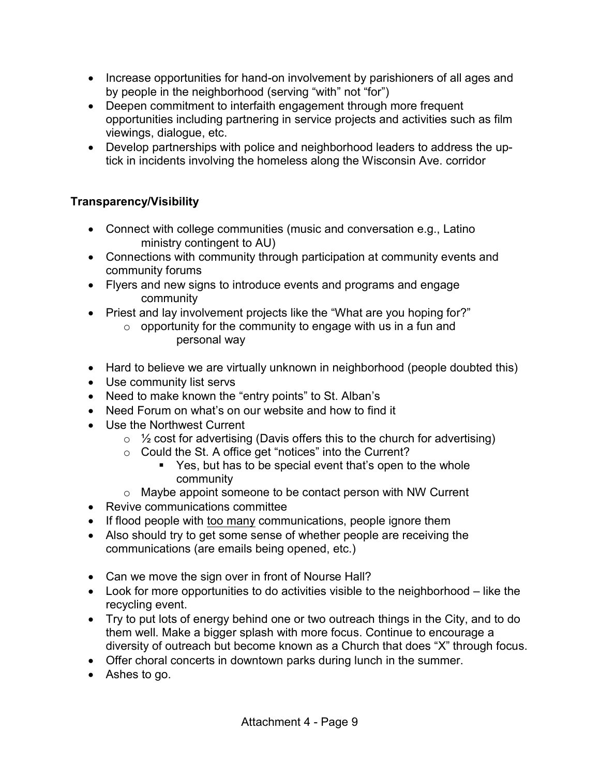- Increase opportunities for hand-on involvement by parishioners of all ages and by people in the neighborhood (serving "with" not "for")
- Deepen commitment to interfaith engagement through more frequent opportunities including partnering in service projects and activities such as film viewings, dialogue, etc.
- Develop partnerships with police and neighborhood leaders to address the uptick in incidents involving the homeless along the Wisconsin Ave. corridor

# Transparency/Visibility

- Connect with college communities (music and conversation e.g., Latino ministry contingent to AU)
- Connections with community through participation at community events and community forums
- Flyers and new signs to introduce events and programs and engage community
- Priest and lay involvement projects like the "What are you hoping for?"
	- $\circ$  opportunity for the community to engage with us in a fun and personal way
- Hard to believe we are virtually unknown in neighborhood (people doubted this)
- Use community list servs
- Need to make known the "entry points" to St. Alban's
- Need Forum on what's on our website and how to find it
- Use the Northwest Current
	- $\circ$   $\frac{1}{2}$  cost for advertising (Davis offers this to the church for advertising)
	- o Could the St. A office get "notices" into the Current?
		- Yes, but has to be special event that's open to the whole community
	- o Maybe appoint someone to be contact person with NW Current
- Revive communications committee
- If flood people with too many communications, people ignore them
- Also should try to get some sense of whether people are receiving the communications (are emails being opened, etc.)
- Can we move the sign over in front of Nourse Hall?
- Look for more opportunities to do activities visible to the neighborhood like the recycling event.
- Try to put lots of energy behind one or two outreach things in the City, and to do them well. Make a bigger splash with more focus. Continue to encourage a diversity of outreach but become known as a Church that does "X" through focus.
- Offer choral concerts in downtown parks during lunch in the summer.
- Ashes to go.